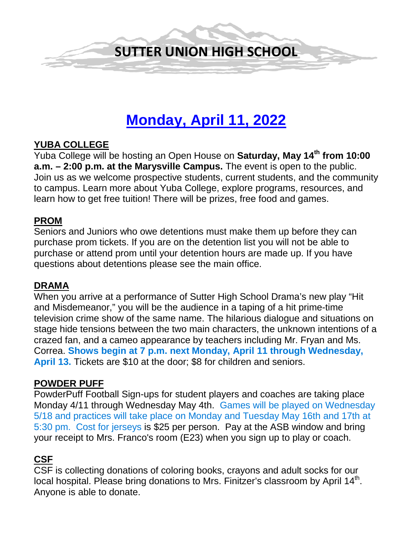

# **Monday, April 11, 2022**

## **YUBA COLLEGE**

Yuba College will be hosting an Open House on **Saturday, May 14th from 10:00 a.m. – 2:00 p.m. at the Marysville Campus.** The event is open to the public. Join us as we welcome prospective students, current students, and the community to campus. Learn more about Yuba College, explore programs, resources, and learn how to get free tuition! There will be prizes, free food and games.

#### **PROM**

Seniors and Juniors who owe detentions must make them up before they can purchase prom tickets. If you are on the detention list you will not be able to purchase or attend prom until your detention hours are made up. If you have questions about detentions please see the main office.

## **DRAMA**

When you arrive at a performance of Sutter High School Drama's new play "Hit and Misdemeanor," you will be the audience in a taping of a hit prime-time television crime show of the same name. The hilarious dialogue and situations on stage hide tensions between the two main characters, the unknown intentions of a crazed fan, and a cameo appearance by teachers including Mr. Fryan and Ms. Correa. **Shows begin at 7 p.m. next Monday, April 11 through Wednesday, April 13.** Tickets are \$10 at the door; \$8 for children and seniors.

#### **POWDER PUFF**

PowderPuff Football Sign-ups for student players and coaches are taking place Monday 4/11 through Wednesday May 4th. Games will be played on Wednesday 5/18 and practices will take place on Monday and Tuesday May 16th and 17th at 5:30 pm. Cost for jerseys is \$25 per person. Pay at the ASB window and bring your receipt to Mrs. Franco's room (E23) when you sign up to play or coach.

# **CSF**

CSF is collecting donations of coloring books, crayons and adult socks for our local hospital. Please bring donations to Mrs. Finitzer's classroom by April 14<sup>th</sup>. Anyone is able to donate.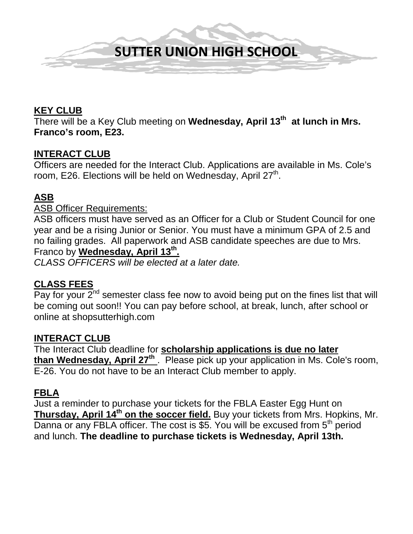

# **KEY CLUB**

There will be a Key Club meeting on **Wednesday, April 13th at lunch in Mrs. Franco's room, E23.** 

#### **INTERACT CLUB**

Officers are needed for the Interact Club. Applications are available in Ms. Cole's room, E26. Elections will be held on Wednesday, April 27<sup>th</sup>.

## **ASB**

#### ASB Officer Requirements:

ASB officers must have served as an Officer for a Club or Student Council for one year and be a rising Junior or Senior. You must have a minimum GPA of 2.5 and no failing grades. All paperwork and ASB candidate speeches are due to Mrs. Franco by **Wednesday, April 13th.** 

*CLASS OFFICERS will be elected at a later date.* 

#### **CLASS FEES**

Pay for your  $2^{nd}$  semester class fee now to avoid being put on the fines list that will be coming out soon!! You can pay before school, at break, lunch, after school or online at shopsutterhigh.com

#### **INTERACT CLUB**

The Interact Club deadline for **scholarship applications is due no later**  than Wednesday, April 27<sup>th</sup>. Please pick up your application in Ms. Cole's room, E-26. You do not have to be an Interact Club member to apply.

#### **FBLA**

Just a reminder to purchase your tickets for the FBLA Easter Egg Hunt on **Thursday, April 14<sup>th</sup> on the soccer field.** Buy your tickets from Mrs. Hopkins, Mr. Danna or any FBLA officer. The cost is \$5. You will be excused from  $5<sup>th</sup>$  period and lunch. **The deadline to purchase tickets is Wednesday, April 13th.**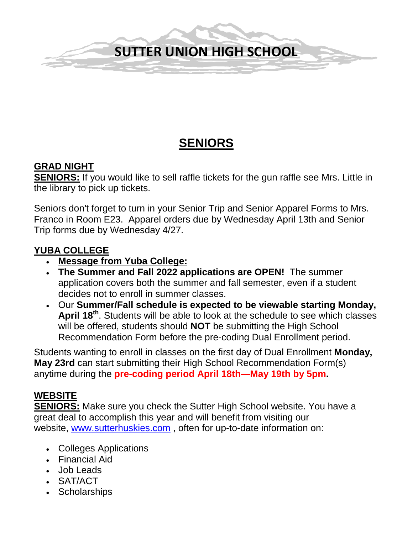# **SUTTER UNION HIGH SCHOOL**

# **SENIORS**

# **GRAD NIGHT**

**SENIORS:** If you would like to sell raffle tickets for the gun raffle see Mrs. Little in the library to pick up tickets.

Seniors don't forget to turn in your Senior Trip and Senior Apparel Forms to Mrs. Franco in Room E23. Apparel orders due by Wednesday April 13th and Senior Trip forms due by Wednesday 4/27.

# **YUBA COLLEGE**

- **Message from Yuba College:**
- **The Summer and Fall 2022 applications are OPEN!** The summer application covers both the summer and fall semester, even if a student decides not to enroll in summer classes.
- Our **Summer/Fall schedule is expected to be viewable starting Monday, April 18th**. Students will be able to look at the schedule to see which classes will be offered, students should **NOT** be submitting the High School Recommendation Form before the pre-coding Dual Enrollment period.

Students wanting to enroll in classes on the first day of Dual Enrollment **Monday, May 23rd** can start submitting their High School Recommendation Form(s) anytime during the **pre-coding period April 18th—May 19th by 5pm.**

# **WEBSITE**

**SENIORS:** Make sure you check the Sutter High School website. You have a great deal to accomplish this year and will benefit from visiting our website, [www.sutterhuskies.com](http://www.sutterhuskies.com/) , often for up-to-date information on:

- Colleges Applications
- Financial Aid
- Job Leads
- SAT/ACT
- Scholarships